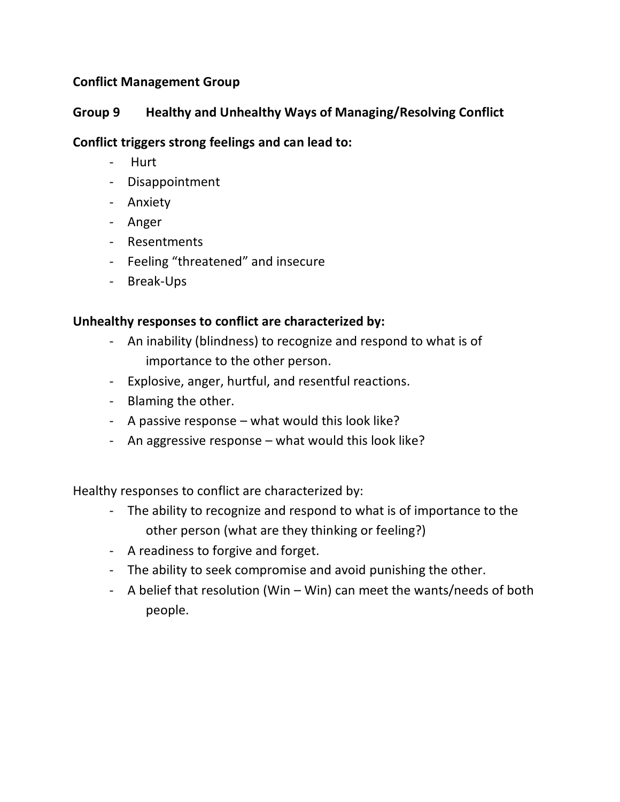## **Conflict Management Group**

## **Group 9 Healthy and Unhealthy Ways of Managing/Resolving Conflict**

## **Conflict triggers strong feelings and can lead to:**

- Hurt
- Disappointment
- Anxiety
- Anger
- Resentments
- Feeling "threatened" and insecure
- Break-Ups

## **Unhealthy responses to conflict are characterized by:**

- An inability (blindness) to recognize and respond to what is of importance to the other person.
- Explosive, anger, hurtful, and resentful reactions.
- Blaming the other.
- A passive response what would this look like?
- An aggressive response what would this look like?

Healthy responses to conflict are characterized by:

- The ability to recognize and respond to what is of importance to the other person (what are they thinking or feeling?)
- A readiness to forgive and forget.
- The ability to seek compromise and avoid punishing the other.
- A belief that resolution (Win Win) can meet the wants/needs of both people.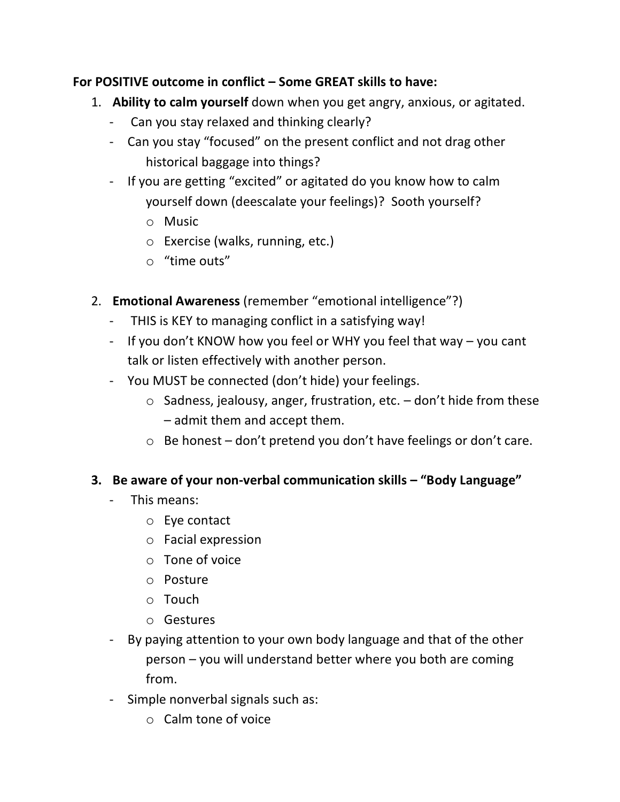## **For POSITIVE outcome in conflict – Some GREAT skills to have:**

- 1. **Ability to calm yourself** down when you get angry, anxious, or agitated.
	- Can you stay relaxed and thinking clearly?
	- Can you stay "focused" on the present conflict and not drag other historical baggage into things?
	- If you are getting "excited" or agitated do you know how to calm yourself down (deescalate your feelings)? Sooth yourself?
		- o Music
		- o Exercise (walks, running, etc.)
		- o "time outs"
- 2. **Emotional Awareness** (remember "emotional intelligence"?)
	- THIS is KEY to managing conflict in a satisfying way!
	- If you don't KNOW how you feel or WHY you feel that way you cant talk or listen effectively with another person.
	- You MUST be connected (don't hide) your feelings.
		- $\circ$  Sadness, jealousy, anger, frustration, etc.  $-$  don't hide from these – admit them and accept them.
		- o Be honest don't pretend you don't have feelings or don't care.

## **3. Be aware of your non-verbal communication skills – "Body Language"**

- This means:
	- o Eye contact
	- o Facial expression
	- o Tone of voice
	- o Posture
	- o Touch
	- o Gestures
- By paying attention to your own body language and that of the other person – you will understand better where you both are coming from.
- Simple nonverbal signals such as:
	- o Calm tone of voice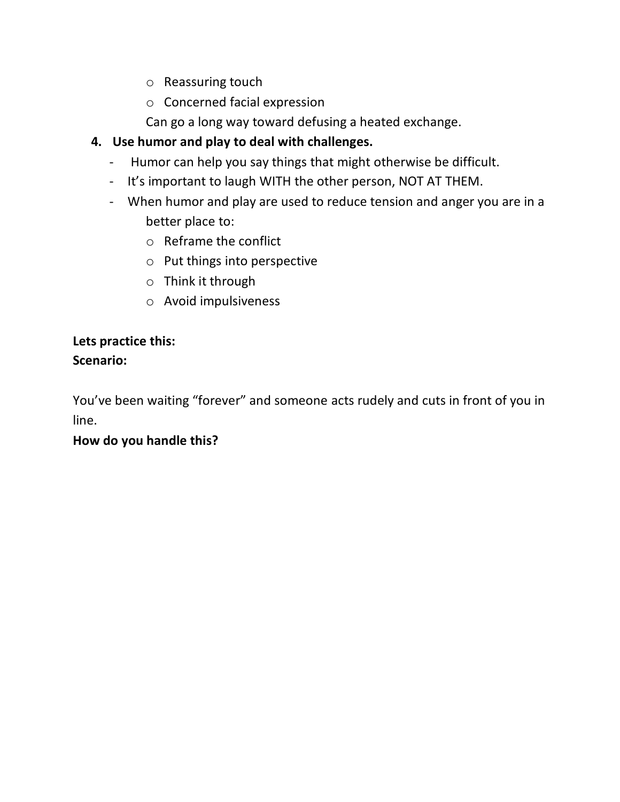- o Reassuring touch
- o Concerned facial expression

Can go a long way toward defusing a heated exchange.

# **4. Use humor and play to deal with challenges.**

- Humor can help you say things that might otherwise be difficult.
- It's important to laugh WITH the other person, NOT AT THEM.
- When humor and play are used to reduce tension and anger you are in a better place to:
	- o Reframe the conflict
	- o Put things into perspective
	- o Think it through
	- o Avoid impulsiveness

# **Lets practice this: Scenario:**

You've been waiting "forever" and someone acts rudely and cuts in front of you in line.

## **How do you handle this?**